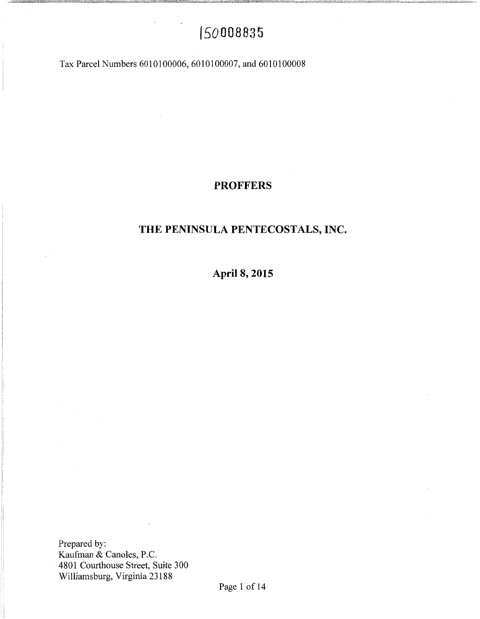# f 50008835

Tax Parcel Numbers 6010100006, 6010100007, and 6010100008

### **PROFFERS**

## **THE PENINSULA PENTECOSTALS, INC.**

**April 8, 2015** 

Prepared by: Kaufman & Canoles, P.C. 4801 Courthouse Street, Suite 300 Williamsburg, Virginia 23188

~J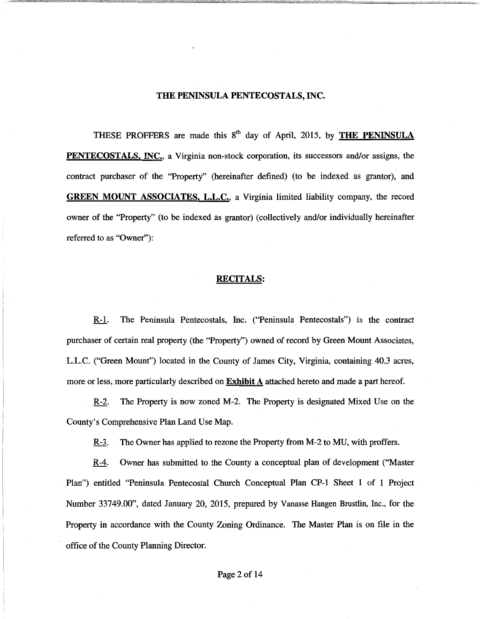### THE PENINSULA PENTECOSTALS, INC.

THESE PROFFERS are made this  $8<sup>th</sup>$  day of April, 2015, by THE PENINSULA PENTECOSTALS, INC., a Virginia non-stock corporation, its successors and/or assigns, the contract purchaser of the "Property" (hereinafter defined) (to be indexed as grantor), and GREEN MOUNT ASSOCIATES, L.L.C., a Virginia limited liability company, the record owner of the "Property" (to be indexed as grantor) (collectively and/or individually hereinafter referred to as "Owner"):

#### RECITALS:

R-1. The Peninsula Pentecostals, Inc. ("Peninsula Pentecostals") is the contract purchaser of certain real property (the "Property") owned of record by Green Mount Associates, L.L.C. ("Green Mount") located in the County of James City, Virginia, containing 40.3 acres, more or less, more particularly described on **Exhibit A** attached hereto and made a part hereof.

R-2. The Property is now zoned M-2. The Property is designated Mixed Use on the County's Comprehensive Plan Land Use Map.

R-3. The Owner has applied to rezone the Property from M-2 to MU, with proffers.

R-4. Owner has submitted to the County a conceptual plan of development ("Master Plan") entitled "Peninsula Pentecostal Church Conceptual Plan CP-1 Sheet 1 of 1 Project Number 33749.00", dated January 20, 2015, prepared by Vanasse Hangen Brustlin, Inc., for the Property in accordance with the County Zoning Ordinance. The Master Plan is on file in the office of the County Planning Director.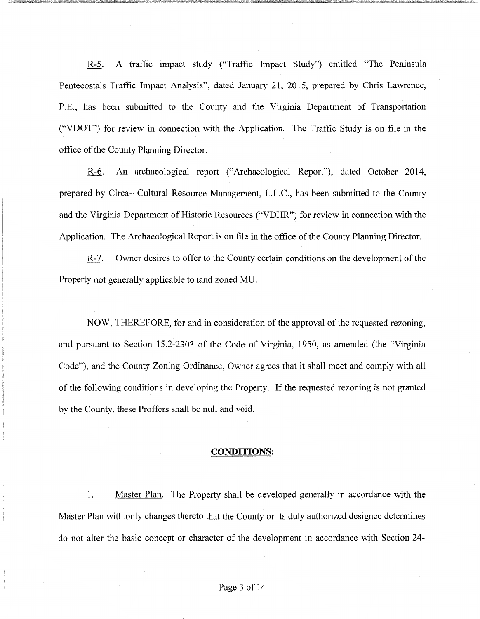R-5. A traffic impact study ("Traffic Impact Study") entitled "The Peninsula Pentecostals Traffic Impact Analysis", dated January 21, 2015, prepared by Chris Lawrence, P.E., has been submitted to the County and the Virginia Department of Transportation ("VDOT") for review in connection with the Application. The Traffic Study is on file in the office of the County Planning Director.

R-6. An archaeological report ("Archaeological Report"), dated October 2014, prepared by Circa~ Cultural Resource Management, L.L.C., has been submitted to the County and the Virginia Department of Historic Resources ("VDHR") for review in connection with the Application. The Archaeological Report is on file in the office of the County Planning Director.

R-7. Owner desires to offer to the County certain conditions on the development of the Property not generally applicable to land zoned MU.

NOW, THEREFORE, for and in consideration of the approval of the requested rezoning, and pursuant to Section 15.2-2303 of the Code of Virginia, 1950, as amended (the "Virginia Code"), and the County Zoning Ordinance, Owner agrees that it shall meet and comply with all of the following conditions in developing the Property. If the requested rezoning is not granted by the County, these Proffers shall be null and void.

### **CONDITIONS:**

1. Master Plan. The Property shall be developed generally in accordance with the Master Plan with only changes thereto that the County or its duly authorized designee determines do not alter the basic concept or character of the development in accordance with Section 24-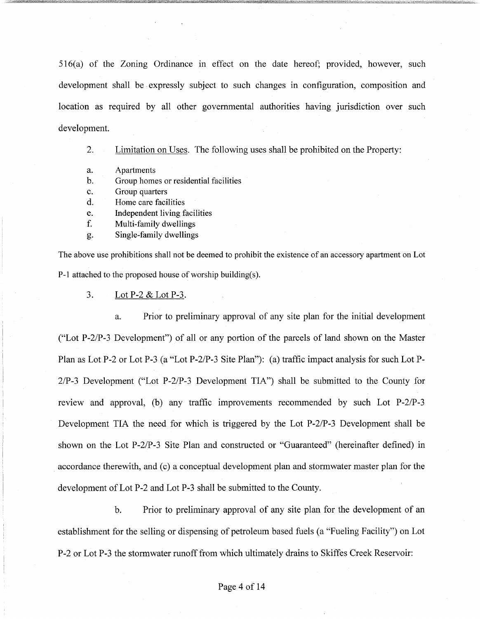516(a) of the Zoning Ordinance in effect on the date hereof; provided, however, such development shall be expressly subject to such changes in configuration, composition and location as required by all other governmental authorities having jurisdiction over such development.

2. Limitation on Uses. The following uses shall be prohibited on the Property:

- a. Apartments
- b. Group homes or residential facilities
- c. Group quarters
- d. Home care facilities
- e. Independent living facilities
- f. Multi-family dwellings
- g. Single-family dwellings

The above use prohibitions shall not be deemed to prohibit the existence of an accessory apartment on Lot P-1 attached to the proposed house of worship building(s).

3. Lot P-2 & Lot P-3.

a. Prior to preliminary approval of any site plan for the initial development ("Lot P-2/P-3 Development") of all or any portion of the parcels of land shown on the Master Plan as Lot P-2 or Lot P-3 (a "Lot P-2/P-3 Site Plan"): (a) traffic impact analysis for such Lot P-2/P-3 Development ("Lot P-2/P-3 Development TIA") shall be submitted to the County for review and approval, (b) any traffic improvements recommended by such Lot P-2/P-3 Development TIA the need for which is triggered by the Lot P-2/P-3 Development shall be shown on the Lot P-2/P-3 Site Plan and constructed or "Guaranteed" (hereinafter defined) in accordance therewith, and (c) a conceptual development plan and stormwater master plan for the development of Lot P-2 and Lot P-3 shall be submitted to the County.

b. Prior to preliminary approval of any site plan for the development of an establishment for the selling or dispensing of petroleum based fuels (a "Fueling Facility") on Lot P-2 or Lot P-3 the stormwater runoff from which ultimately drains to Skiffes Creek Reservoir: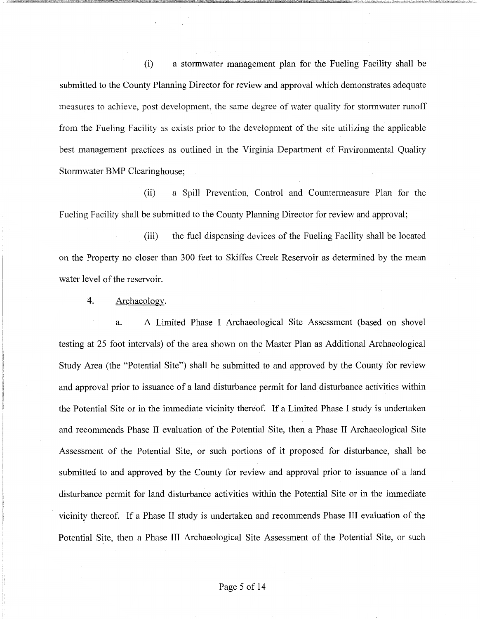(i) a stormwater management plan for the Fueling Facility shall be submitted to the County Planning Director for review and approval which demonstrates adequate measures to achieve, post development, the same degree of water quality for stormwater runoff from the Fueling Facility as exists prior to the development of the site utilizing the applicable best management practices as outlined in the Virginia Department of Environmental Quality Stormwater BMP Clearinghouse;

(ii) a Spill Prevention, Control and Countermeasure Plan for the Fueling Facility shall be submitted to the County Planning Director for review and approval;

(iii) the fuel dispensing devices of the Fueling Facility shall be located on the Property no closer than 300 feet to Skiffes Creek Reservoir as determined by the mean water level of the reservoir.

4. Archaeology.

a. A Limited Phase I Archaeological Site Assessment (based on shovel testing at 25 foot intervals) of the area shown on the Master Plan as Additional Archaeological Study Area (the "Potential Site") shall be submitted to and approved by the County for review and approval prior to issuance of a land disturbance permit for land disturbance activities within the Potential Site or in the immediate vicinity thereof. If a Limited Phase I study is undertaken and recommends Phase II evaluation of the Potential Site, then a Phase II Archaeological Site Assessment of the Potential Site, or such portions of it proposed for disturbance, shall be submitted to and approved by the County for review and approval prior to issuance of a land disturbance permit for land disturbance activities within the Potential Site or in the immediate vicinity thereof. If a Phase II study is undertaken and recommends Phase III evaluation of the Potential Site, then a Phase III Archaeological Site Assessment of the Potential Site, or such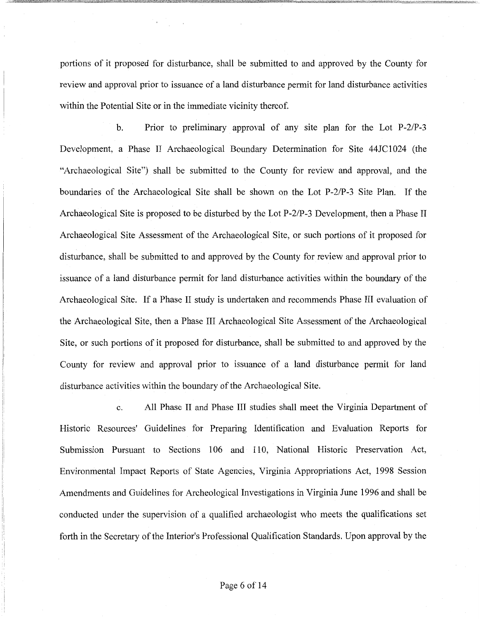portions of it proposed for disturbance, shall be submitted to and approved by the County for review and approval prior to issuance of a land disturbance permit for land disturbance activities within the Potential Site or in the immediate vicinity thereof.

b. Prior to preliminary approval of any site plan for the Lot P-2/P-3 Development, a Phase II Archaeological Boundary Determination for Site 44JC1024 (the "Archaeological Site") shall be submitted to the County for review and approval, and the boundaries of the Archaeological Site shall be shown on the Lot P-2/P-3 Site Plan. If the Archaeological Site is proposed to be disturbed by the Lot P-2/P-3 Development, then a Phase II Archaeological Site Assessment of the Archaeological Site, or such portions of it proposed for disturbance, shall be submitted to and approved by the County for review and approval prior to issuance of a land disturbance permit for land disturbance activities within the boundary of the Archaeological Site. If a Phase II study is undertaken and recommends Phase III evaluation of the Archaeological Site, then a Phase III Archaeological Site Assessment of the Archaeological Site, or such portions of it proposed for disturbance, shall be submitted to and approved by the County for review and approval prior to issuance of a land disturbance permit for land disturbance activities within the boundary of the Archaeological Site.

c. All Phase II and Phase III studies shall meet the Virginia Department of Historic Resources' Guidelines for Preparing Identification and Evaluation Reports for Submission Pursuant to Sections 106 and 110, National Historic Preservation Act, Environmental Impact Reports of State Agencies, Virginia Appropriations Act, 1998 Session Amendments and Guidelines for Archeological Investigations in Virginia June 1996 and shall be conducted under the supervision of a qualified archaeologist who meets the qualifications set forth in the Secretary of the Interior's Professional Qualification Standards. Upon approval by the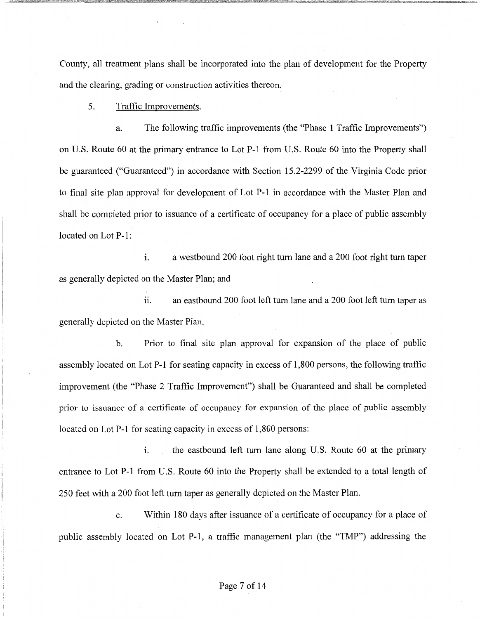County, all treatment plans shall be incorporated into the plan of development for the Property and the clearing, grading or construction activities thereon.

### 5. Traffic Improvements.

a. The following traffic improvements (the "Phase 1 Traffic Improvements") on U.S. Route 60 at the primary entrance to Lot P-1 from U.S. Route 60 into the Property shall be guaranteed ("Guaranteed") in accordance with Section 15.2-2299 of the Virginia Code prior to final site plan approval for development of Lot P-1 in accordance with the Master Plan and shall be completed prior to issuance of a certificate of occupancy for a place of public assembly located on Lot P-1:

i. a westbound 200 foot right turn lane and a 200 foot right turn taper as generally depicted on the Master Plan; and

ii. an eastbound 200 foot left turn lane and a 200 foot left turn taper as generally depicted on the Master Plan.

b. Prior to final site plan approval for expansion of the place of public assembly located on Lot P-1 for seating capacity in excess of 1,800 persons, the following traffic improvement (the "Phase 2 Traffic Improvement") shall be Guaranteed and shall be completed prior to issuance of a certificate of occupancy for expansion of the place of public assembly located on Lot P-1 for seating capacity in excess of 1,800 persons:

i. the eastbound left turn lane along U.S. Route 60 at the primary entrance to Lot P-1 from U.S. Route 60 into the Property shall be extended to a total length of 250 feet with a 200 foot left turn taper as generally depicted on the Master Plan.

c. Within 180 days after issuance of a certificate of occupancy for a place of public assembly located on Lot P-1, a traffic management plan (the "TMP") addressing the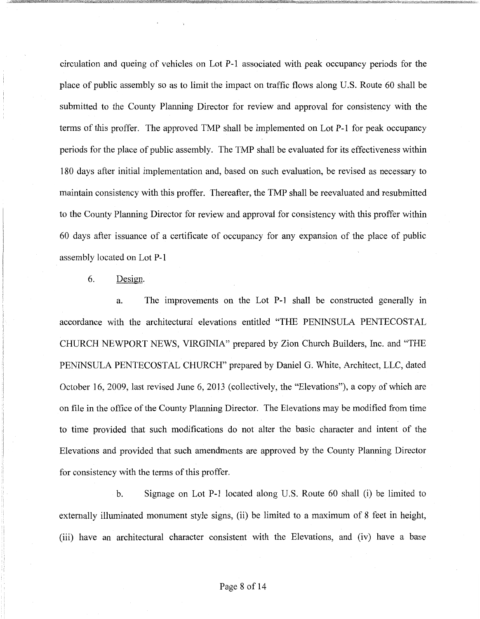circulation and queing of vehicles on Lot P-1 associated with peak occupancy periods for the place of public assembly so as to limit the impact on traffic flows along U.S. Route 60 shall be submitted to the County Planning Director for review and approval for consistency with the terms of this proffer. The approved TMP shall be implemented on Lot P-1 for peak occupancy periods for the place of public assembly. The TMP shall be evaluated for its effectiveness within 180 days after initial implementation and, based on such evaluation, be revised as necessary to maintain consistency with this proffer. Thereafter, the TMP shall be reevaluated and resubmitted to the County Planning Director for review and approval for consistency with this proffer within 60 days after issuance of a certificate of occupancy for any expansion of the place of public assembly located on Lot P-1

6. Design.

a. The improvements on the Lot P-1 shall be constructed generally in accordance with the architectural elevations entitled "THE PENINSULA PENTECOSTAL CHURCH NEWPORT NEWS, VIRGINIA" prepared by Zion Church Builders, Inc. and "THE PENINSULA PENTECOSTAL CHURCH" prepared by Daniel G. White, Architect, LLC, dated October 16, 2009, last revised June 6, 2013 (collectively, the "Elevations"), a copy of which are on file in the office of the County Planning Director. The Elevations may be modified from time to time provided that such modifications do not alter the basic character and intent of the Elevations and provided that such amendments are approved by the County Planning Director for consistency with the terms of this proffer.

b. Signage on Lot P-1 located along U.S. Route 60 shall (i) be limited to externally illuminated monument style signs, (ii) be limited to a maximum of 8 feet in height, (iii) have an architectural character consistent with the Elevations, and (iv) have a base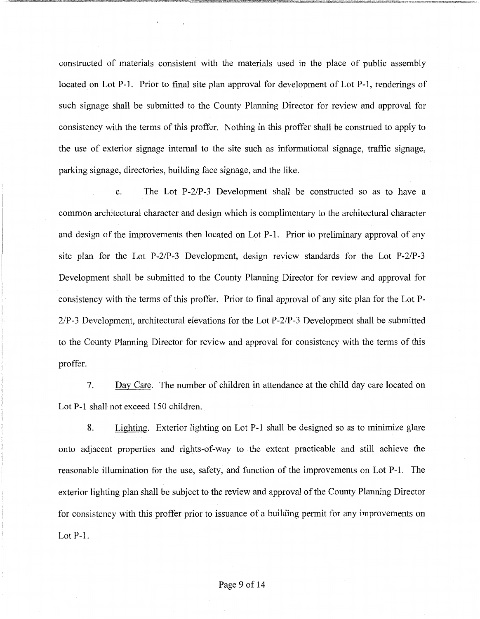constructed of materials consistent with the materials used in the place of public assembly located on Lot P-1. Prior to final site plan approval for development of Lot P-1, renderings of such signage shall be submitted to the County Planning Director for review and approval for consistency with the terms of this proffer. Nothing in this proffer shall be construed to apply to the use of exterior signage internal to the site such as informational signage, traffic signage, parking signage, directories, building face signage, and the like.

c. The Lot P-2/P-3 Development shall be constructed so as to have a common architectural character and design which is complimentary to the architectural character and design of the improvements then located on Lot P-1. Prior to preliminary approval of any site plan for the Lot P-2/P-3 Development, design review standards for the Lot P-2/P-3 Development shall be submitted to the County Planning Director for review and approval for consistency with the terms of this proffer. Prior to final approval of any site plan for the Lot P-2/P-3 Development, architectural elevations for the Lot P-2/P-3 Development shall be submitted to the County Planning Director for review and approval for consistency with the terms of this proffer.

7. Day Care. The number of children in attendance at the child day care located on Lot P-1 shall not exceed 150 children.

8. Lighting. Exterior lighting on Lot P-1 shall be designed so as to minimize glare onto adjacent properties and rights-of-way to the extent practicable and still achieve the reasonable illumination for the use, safety, and function of the improvements on Lot P-1. The exterior lighting plan shall be subject to the review and approval of the County Planning Director for consistency with this proffer prior to issuance of a building permit for any improvements on Lot P-1.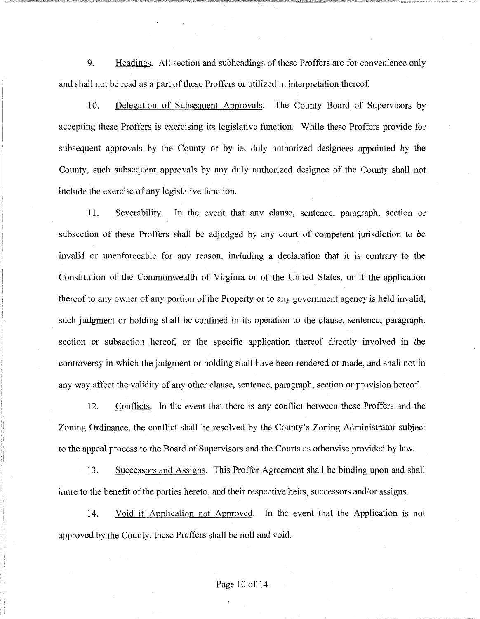9. Headings. All section and subheadings of these Proffers are for convenience only and shall not be read as a part of these Proffers or utilized in interpretation thereof.

10. Delegation of Subsequent Approvals. The County Board of Supervisors by accepting these Proffers is exercising its legislative function. While these Proffers provide for subsequent approvals by the County or by its duly authorized designees appointed by the County, such subsequent approvals by any duly authorized designee of the County shall not include the exercise of any legislative function.

11. Severability. In the event that any clause, sentence, paragraph, section or subsection of these Proffers shall be adjudged by any court of competent jurisdiction to be invalid or unenforceable for any reason, including a declaration that it is contrary to the Constitution of the Commonwealth of Virginia or of the United States, or if the application thereof to any owner of any portion of the Property or to any government agency is held invalid, such judgment or holding shall be confined in its operation to the clause, sentence, paragraph, section or subsection hereof, or the specific application thereof directly involved in the controversy in which the judgment or holding shall have been rendered or made, and shall not in any way affect the validity of any other clause, sentence, paragraph, section or provision hereof.

12. Conflicts. In the event that there is any conflict between these Proffers and the Zoning Ordinance, the conflict shall be resolved by the County's Zoning Administrator subject to the appeal process to the Board of Supervisors and the Courts as otherwise provided by law.

13. Successors and Assigns. This Proffer Agreement shall be binding upon and shall inure to the benefit of the parties hereto, and their respective heirs, successors and/or assigns.

14. Void if Application not Approved. In the event that the Application 1s not approved by the County, these Proffers shall be null and void.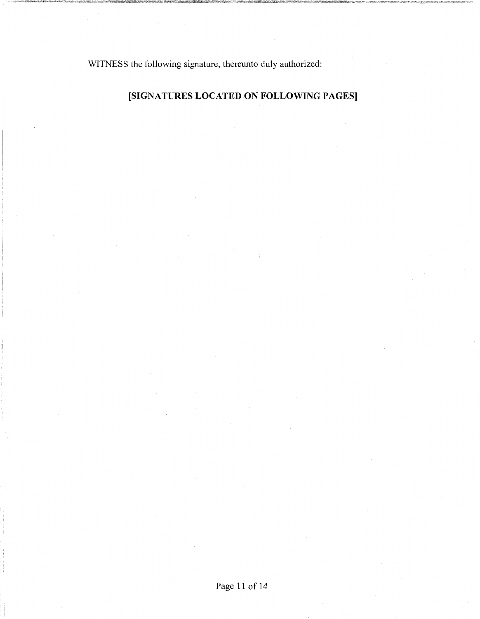WITNESS the following signature, thereunto duly authorized:

## **[SIGNATURES LOCATED ON FOLLOWING PAGES]**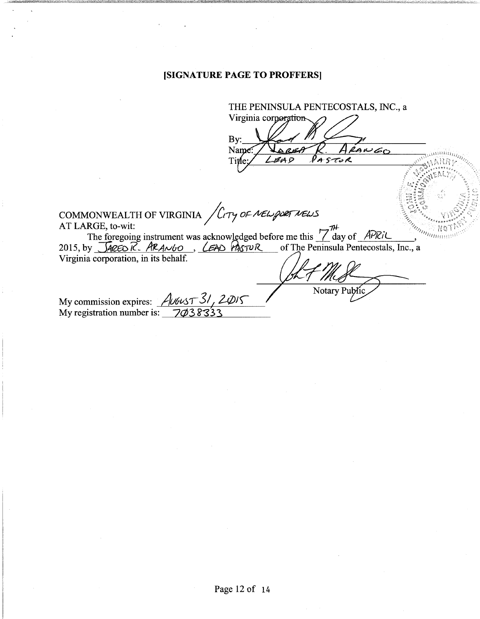### **[SIGNATURE PAGE TO PROFFERS]**

THE PENINSULA PENTECOSTALS, INC., a Virginia corporation By: eANGO Name Title ØA D PASTOR COMMONWEALTH OF VIRGINIA *(Corp of NEW poer NEWS*<br>AT LARGE, to-wit: AT LARGE, to-wit:<br>
The foregoing instrument was acknowledged before me this  $\frac{7\pi}{4}$  day of  $\frac{APRiL}{APRi}$ ,<br>
2015, by  $\frac{GACO}{R}$ ,  $\frac{ARA\sim bO}{R}$ ,  $\frac{CAAO}{RYUR}$  of The Peninsula Pentecostals, Inc., a Virginia corporation, in its behalf. Notary My commission expires: *AUGUST 31, 2015* My registration number is:  $\frac{7}{\cancel{0}38333}$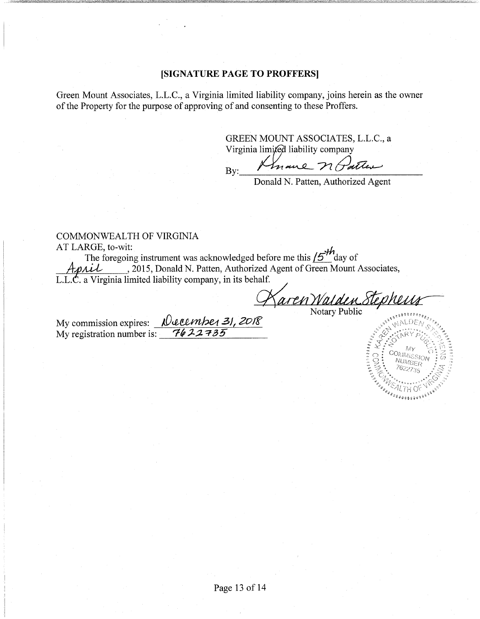### **[SIGNATURE PAGE TO PROFFERS]**

Green Mount Associates, L.L.C., a Virginia limited liability company, joins herein as the owner of the Property for the purpose of approving of and consenting to these Proffers.

> GREEN MOUNT ASSOCIATES, L.L.C., a Virginia limited liability company

 $By:$  Knowne n Partie

Donald N. Patten, Authorized Agent

# COMMONWEALTH OF VIRGINIA

AT LARGE, to-wit:<br>The foregoing instrument was acknowledged before me this  $15^{th}$  day of The foregoing instrument was acknowledged before me this  $/5$ <sup>tr</sup>day of A-p.Ai-L , 2015, Donald N. Patten, Authorized Agent of Green Mount Associates, L.L. $\dot{C}$ . a Virginia limited liability company, in its behalf. ment was acknowledged before the this 15 day of<br>
bility company, in its behalf.<br> *Aaren Walden Stepheng* 

My commission expires: **Necembe<sub>1</sub> 31, 2018** My registration number is: **7622735**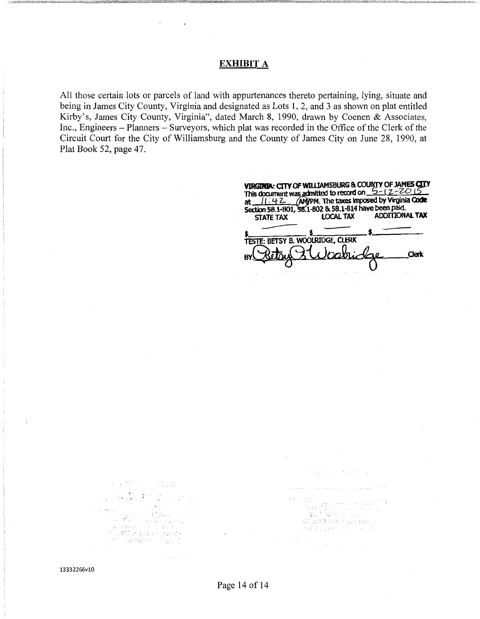### **EXHIBIT** A

All those certain lots or parcels of land with appurtenances thereto pertaining, lying, situate and being in James City County, Virginia and designated as Lots 1, 2, and 3 as shown on plat entitled Kirby's, James City County, Virginia", dated March 8, 1990, drawn by Coenen & Associates, Inc., Engineers - Planners - Surveyors, which plat was recorded in the Office of the Clerk of the Circuit Court for the City of Williamsburg and the County of James City on June 28, 1990, at Plat Book 52, page 47.

STATE TAX LOCAL TAX ADDITIONAL<br> **S**<br>
TESTE: BETSY B. WOOLRIDGE, CLERK This document was admitted to record on  $\frac{5 - 12 - 2015}{2}$ <br>at  $\frac{111.42}{2}$  (AM)PM. The taxes imposed by Virginia Code<br>Section 58.1-801, 58.1-802 & 58.1-814 have been paid.<br>STATE TAX LOCAL TAX ADDITIONAL TAX  $\qquad$ VIRGINIA: CITY OF WILLIAMSBURG & COUNTY OF JAMES CITY<br>This document was admitted to record on  $\frac{5 - 12 - 2015}{2}$ <br>at  $\frac{11 \cdot 42}{2}$  (AM)PM. The taxes imposed by Virginia Code<br>Section 58.1-801, 58.1-802 & 58.1-814 have be **Clerk** 

Ova ur gobit

athau<br>- Baa (Mathining a to any)<br>- Man (Cardially as any)<br>- An Will event are permit<br>- An Dugah una all any eth

科德尔选区

 $\mathcal{L}(\mathcal{D}_n) \rightarrow \mathcal{L}_{\text{non-1}}(\mathcal{D}_n)$ 

13332266v10

 $\label{eq:3} \begin{array}{ll} \mathbb{E}\left\{ \left\langle \mathbf{X}_{t}^{(1)}\right\rangle \right\} & \mathbb{E}\left\{ \left\langle \mathbf{X}_{t}^{(1)}\right\rangle \right\} \\ \mathbb{E}\left\{ \left\langle \mathbf{X}_{t}^{(1)}\right\rangle \right\} & \mathbb{E}\left\{ \left\langle \mathbf{X}_{t}^{(1)}\right\rangle \right\} \end{array}$ 

 $\mathbf{v}(\cdot)$ l⊾+j